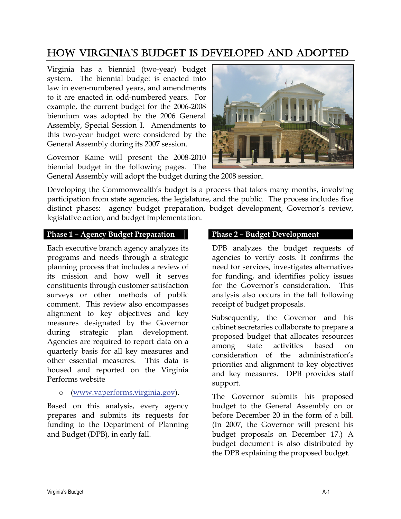# HOW VIRGINIA'S BUDGET IS DEVELOPED AND ADOPTED

Virginia has a biennial (two-year) budget system. The biennial budget is enacted into law in even-numbered years, and amendments to it are enacted in odd-numbered years. For example, the current budget for the 2006-2008 biennium was adopted by the 2006 General Assembly, Special Session I. Amendments to this two-year budget were considered by the General Assembly during its 2007 session.

Governor Kaine will present the 2008-2010 biennial budget in the following pages. The



General Assembly will adopt the budget during the 2008 session.

Developing the Commonwealth's budget is a process that takes many months, involving participation from state agencies, the legislature, and the public. The process includes five distinct phases: agency budget preparation, budget development, Governor's review, legislative action, and budget implementation.

## **Phase 1 – Agency Budget Preparation**

Each executive branch agency analyzes its programs and needs through a strategic planning process that includes a review of its mission and how well it serves constituents through customer satisfaction surveys or other methods of public comment. This review also encompasses alignment to key objectives and key measures designated by the Governor during strategic plan development. Agencies are required to report data on a quarterly basis for all key measures and other essential measures. This data is housed and reported on the Virginia Performs website

### o (www.vaperforms.virginia.gov).

Based on this analysis, every agency prepares and submits its requests for funding to the Department of Planning and Budget (DPB), in early fall.

#### **Phase 2 – Budget Development**

DPB analyzes the budget requests of agencies to verify costs. It confirms the need for services, investigates alternatives for funding, and identifies policy issues for the Governor's consideration. This analysis also occurs in the fall following receipt of budget proposals.

Subsequently, the Governor and his cabinet secretaries collaborate to prepare a proposed budget that allocates resources among state activities based on consideration of the administration's priorities and alignment to key objectives and key measures. DPB provides staff support.

The Governor submits his proposed budget to the General Assembly on or before December 20 in the form of a bill. (In 2007, the Governor will present his budget proposals on December 17.) A budget document is also distributed by the DPB explaining the proposed budget.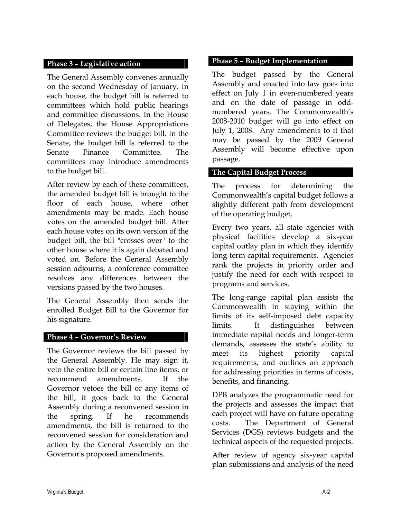#### **Phase 3 – Legislative action**

The General Assembly convenes annually on the second Wednesday of January. In each house, the budget bill is referred to committees which hold public hearings and committee discussions. In the House of Delegates, the House Appropriations Committee reviews the budget bill. In the Senate, the budget bill is referred to the Senate Finance Committee. The committees may introduce amendments to the budget bill.

After review by each of these committees, the amended budget bill is brought to the floor of each house, where other amendments may be made. Each house votes on the amended budget bill. After each house votes on its own version of the budget bill, the bill "crosses over" to the other house where it is again debated and voted on. Before the General Assembly session adjourns, a conference committee resolves any differences between the versions passed by the two houses.

The General Assembly then sends the enrolled Budget Bill to the Governor for his signature.

#### **Phase 4 – Governor's Review**

The Governor reviews the bill passed by the General Assembly. He may sign it, veto the entire bill or certain line items, or recommend amendments. If the Governor vetoes the bill or any items of the bill, it goes back to the General Assembly during a reconvened session in the spring. If he recommends amendments, the bill is returned to the reconvened session for consideration and action by the General Assembly on the Governor's proposed amendments.

#### **Phase 5 – Budget Implementation**

The budget passed by the General Assembly and enacted into law goes into effect on July 1 in even-numbered years and on the date of passage in oddnumbered years. The Commonwealth's 2008-2010 budget will go into effect on July 1, 2008. Any amendments to it that may be passed by the 2009 General Assembly will become effective upon passage.

#### **The Capital Budget Process**

The process for determining the Commonwealth's capital budget follows a slightly different path from development of the operating budget.

Every two years, all state agencies with physical facilities develop a six-year capital outlay plan in which they identify long-term capital requirements. Agencies rank the projects in priority order and justify the need for each with respect to programs and services.

The long-range capital plan assists the Commonwealth in staying within the limits of its self-imposed debt capacity limits. It distinguishes between immediate capital needs and longer-term demands, assesses the state's ability to meet its highest priority capital requirements, and outlines an approach for addressing priorities in terms of costs, benefits, and financing.

DPB analyzes the programmatic need for the projects and assesses the impact that each project will have on future operating costs. The Department of General Services (DGS) reviews budgets and the technical aspects of the requested projects.

After review of agency six-year capital plan submissions and analysis of the need